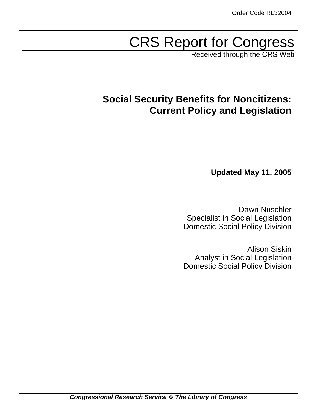# CRS Report for Congress

Received through the CRS Web

# **Social Security Benefits for Noncitizens: Current Policy and Legislation**

**Updated May 11, 2005**

Dawn Nuschler Specialist in Social Legislation Domestic Social Policy Division

Alison Siskin Analyst in Social Legislation Domestic Social Policy Division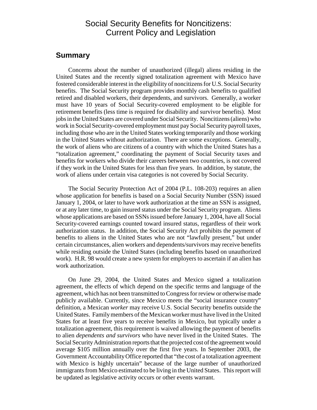# Social Security Benefits for Noncitizens: Current Policy and Legislation

### **Summary**

Concerns about the number of unauthorized (illegal) aliens residing in the United States and the recently signed totalization agreement with Mexico have fostered considerable interest in the eligibility of noncitizens for U.S. Social Security benefits. The Social Security program provides monthly cash benefits to qualified retired and disabled workers, their dependents, and survivors. Generally, a worker must have 10 years of Social Security-covered employment to be eligible for retirement benefits (less time is required for disability and survivor benefits). Most jobs in the United States are covered under Social Security. Noncitizens (aliens) who work in Social Security-covered employment must pay Social Security payroll taxes, including those who are in the United States working temporarily and those working in the United States without authorization. There are some exceptions. Generally, the work of aliens who are citizens of a country with which the United States has a "totalization agreement," coordinating the payment of Social Security taxes and benefits for workers who divide their careers between two countries, is not covered if they work in the United States for less than five years. In addition, by statute, the work of aliens under certain visa categories is not covered by Social Security.

The Social Security Protection Act of 2004 (P.L. 108-203) requires an alien whose application for benefits is based on a Social Security Number (SSN) issued January 1, 2004, or later to have work authorization at the time an SSN is assigned, or at any later time, to gain insured status under the Social Security program. Aliens whose applications are based on SSNs issued before January 1, 2004, have all Social Security-covered earnings counted toward insured status, regardless of their work authorization status. In addition, the Social Security Act prohibits the payment of benefits to aliens in the United States who are not "lawfully present," but under certain circumstances, alien workers and dependents/survivors may receive benefits while residing outside the United States (including benefits based on unauthorized work). H.R. 98 would create a new system for employers to ascertain if an alien has work authorization.

On June 29, 2004, the United States and Mexico signed a totalization agreement, the effects of which depend on the specific terms and language of the agreement, which has not been transmitted to Congress for review or otherwise made publicly available. Currently, since Mexico meets the "social insurance country" definition, a Mexican *worker* may receive U.S. Social Security benefits outside the United States. Family members of the Mexican worker must have lived in the United States for at least five years to receive benefits in Mexico, but typically under a totalization agreement, this requirement is waived allowing the payment of benefits to alien *dependents and survivors* who have never lived in the United States. The Social Security Administration reports that the projected cost of the agreement would average \$105 million annually over the first five years. In September 2003, the Government Accountability Office reported that "the cost of a totalization agreement with Mexico is highly uncertain" because of the large number of unauthorized immigrants from Mexico estimated to be living in the United States. This report will be updated as legislative activity occurs or other events warrant.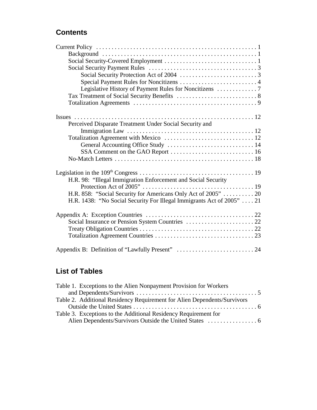# **Contents**

| Perceived Disparate Treatment Under Social Security and                |
|------------------------------------------------------------------------|
|                                                                        |
|                                                                        |
| General Accounting Office Study  14                                    |
|                                                                        |
|                                                                        |
|                                                                        |
|                                                                        |
| H.R. 98: "Illegal Immigration Enforcement and Social Security          |
|                                                                        |
| H.R. 858: "Social Security for Americans Only Act of 2005"  20         |
| H.R. 1438: "No Social Security For Illegal Immigrants Act of 2005"  21 |
|                                                                        |
|                                                                        |
|                                                                        |
|                                                                        |
|                                                                        |
| Appendix B: Definition of "Lawfully Present"  24                       |
|                                                                        |

# **List of Tables**

| Table 1. Exceptions to the Alien Nonpayment Provision for Workers        |  |
|--------------------------------------------------------------------------|--|
|                                                                          |  |
| Table 2. Additional Residency Requirement for Alien Dependents/Survivors |  |
|                                                                          |  |
| Table 3. Exceptions to the Additional Residency Requirement for          |  |
|                                                                          |  |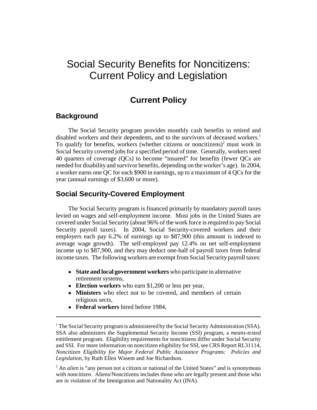# Social Security Benefits for Noncitizens: Current Policy and Legislation

# **Current Policy**

### **Background**

The Social Security program provides monthly cash benefits to retired and disabled workers and their dependents, and to the survivors of deceased workers.<sup>1</sup> To qualify for benefits, workers (whether citizens or noncitizens) $2$  must work in Social Security covered jobs for a specified period of time. Generally, workers need 40 quarters of coverage (QCs) to become "insured" for benefits (fewer QCs are needed for disability and survivor benefits, depending on the worker's age). In 2004, a worker earns one QC for each \$900 in earnings, up to a maximum of 4 QCs for the year (annual earnings of \$3,600 or more).

# **Social Security-Covered Employment**

The Social Security program is financed primarily by mandatory payroll taxes levied on wages and self-employment income. Most jobs in the United States are covered under Social Security (about 96% of the work force is required to pay Social Security payroll taxes). In 2004, Social Security-covered workers and their employers each pay 6.2% of earnings up to \$87,900 (this amount is indexed to average wage growth). The self-employed pay 12.4% on net self-employment income up to \$87,900, and they may deduct one-half of payroll taxes from federal income taxes. The following workers are exempt from Social Security payroll taxes:

- ! **State and local government workers** who participate in alternative retirement systems,
- ! **Election workers** who earn \$1,200 or less per year,
- ! **Ministers** who elect not to be covered, and members of certain religious sects,
- ! **Federal workers** hired before 1984,

<sup>&</sup>lt;sup>1</sup> The Social Security program is administered by the Social Security Administration (SSA). SSA also administers the Supplemental Security Income (SSI) program, a *means-tested* entitlement program. Eligibility requirements for noncitizens differ under Social Security and SSI. For more information on noncitizen eligibility for SSI, see CRS Report RL31114, *Noncitizen Eligibility for Major Federal Public Assistance Programs: Policies and Legislation*, by Ruth Ellen Wasem and Joe Richardson.

<sup>&</sup>lt;sup>2</sup> An *alien* is "any person not a citizen or national of the United States" and is synonymous with *noncitizen*. Aliens/Noncitizens includes those who are legally present and those who are in violation of the Immigration and Nationality Act (INA).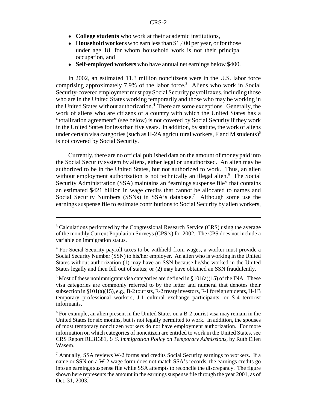- ! **College students** who work at their academic institutions,
- ! **Household workers** who earn less than \$1,400 per year, or for those under age 18, for whom household work is not their principal occupation, and
- ! **Self-employed workers** who have annual net earnings below \$400.

In 2002, an estimated 11.3 million noncitizens were in the U.S. labor force comprising approximately 7.9% of the labor force.<sup>3</sup> Aliens who work in Social Security-covered employment must pay Social Security payroll taxes, including those who are in the United States working temporarily and those who may be working in the United States without authorization.<sup>4</sup> There are some exceptions. Generally, the work of aliens who are citizens of a country with which the United States has a "totalization agreement" (see below) is not covered by Social Security if they work in the United States for less than five years. In addition, by statute, the work of aliens under certain visa categories (such as H-2A agricultural workers, F and M students)<sup>5</sup> is not covered by Social Security.

Currently, there are no official published data on the amount of money paid into the Social Security system by aliens, either legal or unauthorized. An alien may be authorized to be in the United States, but not authorized to work. Thus, an alien without employment authorization is not technically an illegal alien.<sup>6</sup> The Social Security Administration (SSA) maintains an "earnings suspense file" that contains an estimated \$421 billion in wage credits that cannot be allocated to names and Social Security Numbers (SSNs) in SSA's database.<sup>7</sup> Although some use the earnings suspense file to estimate contributions to Social Security by alien workers,

<sup>&</sup>lt;sup>3</sup> Calculations performed by the Congressional Research Service (CRS) using the average of the monthly Current Population Surveys (CPS's) for 2002. The CPS does not include a variable on immigration status.

<sup>&</sup>lt;sup>4</sup> For Social Security payroll taxes to be withheld from wages, a worker must provide a Social Security Number (SSN) to his/her employer. An alien who is working in the United States without authorization (1) may have an SSN because he/she worked in the United States legally and then fell out of status; or (2) may have obtained an SSN fraudulently.

<sup>&</sup>lt;sup>5</sup> Most of these nonimmigrant visa categories are defined in  $\S 101(a)(15)$  of the INA. These visa categories are commonly referred to by the letter and numeral that denotes their subsection in  $\S 101(a)(15)$ , e.g., B-2 tourists, E-2 treaty investors, F-1 foreign students, H-1B temporary professional workers, J-1 cultural exchange participants, or S-4 terrorist informants.

<sup>6</sup> For example, an alien present in the United States on a B-2 tourist visa may remain in the United States for six months, but is not legally permitted to work. In addition, the spouses of most temporary noncitizen workers do not have employment authorization. For more information on which categories of noncitizen are entitled to work in the United States, see CRS Report RL31381, *U.S. Immigration Policy on Temporary Admissions*, by Ruth Ellen Wasem.

<sup>&</sup>lt;sup>7</sup> Annually, SSA reviews W-2 forms and credits Social Security earnings to workers. If a name or SSN on a W-2 wage form does not match SSA's records, the earnings credits go into an earnings suspense file while SSA attempts to reconcile the discrepancy. The figure shown here represents the amount in the earnings suspense file through the year 2001, as of Oct. 31, 2003.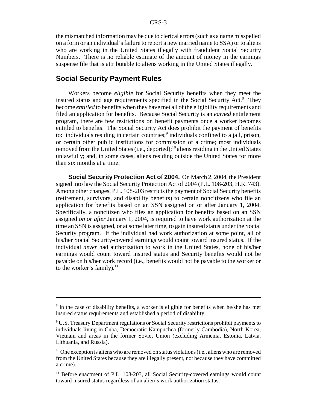the mismatched information may be due to clerical errors (such as a name misspelled on a form or an individual's failure to report a new married name to SSA) or to aliens who are working in the United States illegally with fraudulent Social Security Numbers. There is no reliable estimate of the amount of money in the earnings suspense file that is attributable to aliens working in the United States illegally.

### **Social Security Payment Rules**

Workers become *eligible* for Social Security benefits when they meet the insured status and age requirements specified in the Social Security Act.<sup>8</sup> They become *entitled* to benefits when they have met all of the eligibility requirements and filed an application for benefits. Because Social Security is an *earned* entitlement program, there are few restrictions on benefit payments once a worker becomes entitled to benefits. The Social Security Act does prohibit the payment of benefits to: individuals residing in certain countries;<sup>9</sup> individuals confined to a jail, prison, or certain other public institutions for commission of a crime; most individuals removed from the United States (i.e., deported);<sup>10</sup> aliens residing in the United States unlawfully; and, in some cases, aliens residing outside the United States for more than six months at a time.

**Social Security Protection Act of 2004.** On March 2, 2004, the President signed into law the Social Security Protection Act of 2004 (P.L. 108-203, H.R. 743). Among other changes, P.L. 108-203 restricts the payment of Social Security benefits (retirement, survivors, and disability benefits) to certain noncitizens who file an application for benefits based on an SSN assigned on or after January 1, 2004. Specifically, a noncitizen who files an application for benefits based on an SSN assigned *on or after* January 1, 2004, is required to have work authorization at the time an SSN is assigned, or at some later time, to gain insured status under the Social Security program. If the individual had work authorization at some point, all of his/her Social Security-covered earnings would count toward insured status. If the individual *never* had authorization to work in the United States, none of his/her earnings would count toward insured status and Security benefits would not be payable on his/her work record (i.e., benefits would not be payable to the worker or to the worker's family). $^{11}$ 

<sup>&</sup>lt;sup>8</sup> In the case of disability benefits, a worker is eligible for benefits when he/she has met insured status requirements and established a period of disability.

<sup>&</sup>lt;sup>9</sup> U.S. Treasury Department regulations or Social Security restrictions prohibit payments to individuals living in Cuba, Democratic Kampuchea (formerly Cambodia), North Korea, Vietnam and areas in the former Soviet Union (excluding Armenia, Estonia, Latvia, Lithuania, and Russia).

 $10$  One exception is aliens who are removed on status violations (i.e., aliens who are removed from the United States because they are illegally present, not because they have committed a crime).

<sup>&</sup>lt;sup>11</sup> Before enactment of P.L. 108-203, all Social Security-covered earnings would count toward insured status regardless of an alien's work authorization status.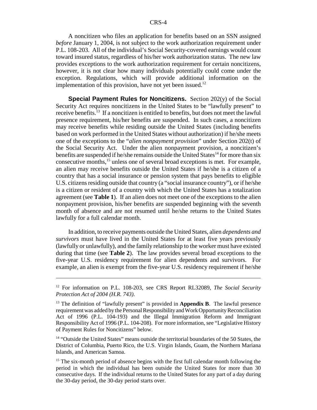A noncitizen who files an application for benefits based on an SSN assigned *before* January 1, 2004, is not subject to the work authorization requirement under P.L. 108-203. All of the individual's Social Security-covered earnings would count toward insured status, regardless of his/her work authorization status. The new law provides exceptions to the work authorization requirement for certain noncitizens, however, it is not clear how many individuals potentially could come under the exception. Regulations, which will provide additional information on the implementation of this provision, have not yet been issued.<sup>12</sup>

**Special Payment Rules for Noncitizens.** Section 202(y) of the Social Security Act requires noncitizens in the United States to be "lawfully present" to receive benefits.<sup>13</sup> If a noncitizen is entitled to benefits, but does not meet the lawful presence requirement, his/her benefits are suspended. In such cases, a noncitizen may receive benefits while residing outside the United States (including benefits based on work performed in the United States without authorization) if he/she meets one of the exceptions to the "*alien nonpayment provision*" under Section 202(t) of the Social Security Act. Under the alien nonpayment provision, a noncitizen's benefits are suspended if he/she remains outside the United States<sup>14</sup> for more than six consecutive months,<sup>15</sup> unless one of several broad exceptions is met. For example, an alien may receive benefits outside the United States if he/she is a citizen of a country that has a social insurance or pension system that pays benefits to eligible U.S. citizens residing outside that country (a "social insurance country"), or if he/she is a citizen or resident of a country with which the United States has a totalization agreement (see **Table 1**). If an alien does not meet one of the exceptions to the alien nonpayment provision, his/her benefits are suspended beginning with the seventh month of absence and are not resumed until he/she returns to the United States lawfully for a full calendar month.

In addition, to receive payments outside the United States, alien *dependents and survivors* must have lived in the United States for at least five years previously (lawfully or unlawfully), and the family relationship to the worker must have existed during that time (see **Table 2**). The law provides several broad exceptions to the five-year U.S. residency requirement for alien dependents and survivors. For example, an alien is exempt from the five-year U.S. residency requirement if he/she

<sup>12</sup> For information on P.L. 108-203, see CRS Report RL32089, *The Social Security Protection Act of 2004 (H.R. 743)*.

<sup>&</sup>lt;sup>13</sup> The definition of "lawfully present" is provided in **Appendix B**. The lawful presence requirement was added by the Personal Responsibility and Work Opportunity Reconciliation Act of 1996 (P.L. 104-193) and the Illegal Immigration Reform and Immigrant Responsibility Act of 1996 (P.L. 104-208). For more information, see "Legislative History of Payment Rules for Noncitizens" below.

 $14$  "Outside the United States" means outside the territorial boundaries of the 50 States, the District of Columbia, Puerto Rico, the U.S. Virgin Islands, Guam, the Northern Mariana Islands, and American Samoa.

<sup>&</sup>lt;sup>15</sup> The six-month period of absence begins with the first full calendar month following the period in which the individual has been outside the United States for more than 30 consecutive days. If the individual returns to the United States for any part of a day during the 30-day period, the 30-day period starts over.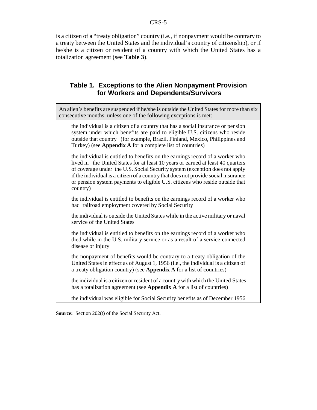is a citizen of a "treaty obligation" country (i.e., if nonpayment would be contrary to a treaty between the United States and the individual's country of citizenship), or if he/she is a citizen or resident of a country with which the United States has a totalization agreement (see **Table 3**).

## **Table 1. Exceptions to the Alien Nonpayment Provision for Workers and Dependents/Survivors**

| An alien's benefits are suspended if he/she is outside the United States for more than six<br>consecutive months, unless one of the following exceptions is met:                                                                                                                                                                                                                                                                  |
|-----------------------------------------------------------------------------------------------------------------------------------------------------------------------------------------------------------------------------------------------------------------------------------------------------------------------------------------------------------------------------------------------------------------------------------|
| the individual is a citizen of a country that has a social insurance or pension<br>system under which benefits are paid to eligible U.S. citizens who reside<br>outside that country (for example, Brazil, Finland, Mexico, Philippines and<br>Turkey) (see Appendix A for a complete list of countries)                                                                                                                          |
| the individual is entitled to benefits on the earnings record of a worker who<br>lived in the United States for at least 10 years or earned at least 40 quarters<br>of coverage under the U.S. Social Security system (exception does not apply<br>if the individual is a citizen of a country that does not provide social insurance<br>or pension system payments to eligible U.S. citizens who reside outside that<br>country) |
| the individual is entitled to benefits on the earnings record of a worker who<br>had railroad employment covered by Social Security                                                                                                                                                                                                                                                                                               |
| the individual is outside the United States while in the active military or naval<br>service of the United States                                                                                                                                                                                                                                                                                                                 |
| the individual is entitled to benefits on the earnings record of a worker who<br>died while in the U.S. military service or as a result of a service-connected<br>disease or injury                                                                                                                                                                                                                                               |
| the nonpayment of benefits would be contrary to a treaty obligation of the<br>United States in effect as of August 1, 1956 (i.e., the individual is a citizen of<br>a treaty obligation country) (see Appendix A for a list of countries)                                                                                                                                                                                         |
| the individual is a citizen or resident of a country with which the United States<br>has a totalization agreement (see Appendix A for a list of countries)                                                                                                                                                                                                                                                                        |
| the individual was eligible for Social Security benefits as of December 1956                                                                                                                                                                                                                                                                                                                                                      |
|                                                                                                                                                                                                                                                                                                                                                                                                                                   |

**Source:** Section 202(t) of the Social Security Act.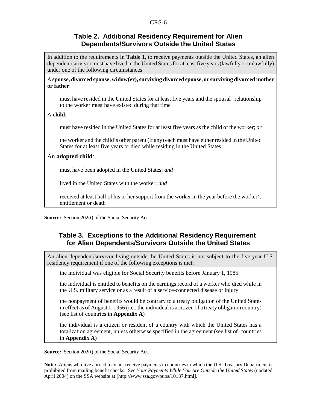### **Table 2. Additional Residency Requirement for Alien Dependents/Survivors Outside the United States**

In addition to the requirements in **Table 1**, to receive payments outside the United States, an alien dependent/survivor must have lived in the United States for at least five years (lawfully or unlawfully) under one of the following circumstances:

A **spouse, divorced spouse, widow(er), surviving divorced spouse, or surviving divorced mother or father**:

must have resided in the United States for at least five years and the spousal relationship to the worker must have existed during that time

#### A **child**:

must have resided in the United States for at least five years as the child of the worker; *or*

the worker and the child's other parent (if any) each must have either resided in the United States for at least five years or died while residing in the United States

#### An **adopted child**:

must have been adopted in the United States; *and*

lived in the United States with the worker; *and*

received at least half of his or her support from the worker in the year before the worker's entitlement or death

**Source:** Section 202(t) of the Social Security Act.

# **Table 3. Exceptions to the Additional Residency Requirement for Alien Dependents/Survivors Outside the United States**

An alien dependent/survivor living outside the United States is not subject to the five-year U.S. residency requirement if one of the following exceptions is met:

the individual was eligible for Social Security benefits before January 1, 1985

the individual is entitled to benefits on the earnings record of a worker who died while in the U.S. military service or as a result of a service-connected disease or injury

the nonpayment of benefits would be contrary to a treaty obligation of the United States in effect as of August 1, 1956 (i.e., the individual is a citizen of a treaty obligation country) (see list of countries in **Appendix A**)

the individual is a citizen or resident of a country with which the United States has a totalization agreement, unless otherwise specified in the agreement (see list of countries in **Appendix A**)

**Source:** Section 202(t) of the Social Security Act.

**Note:** Aliens who live abroad may not receive payments in countries to which the U.S. Treasury Department is prohibited from mailing benefit checks. See *Your Payments While You Are Outside the United States* (updated April 2004) on the SSA website at [http://www.ssa.gov/pubs/10137.html].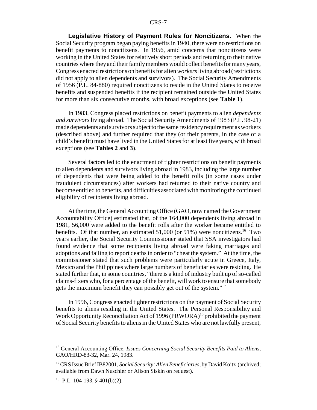**Legislative History of Payment Rules for Noncitizens.** When the Social Security program began paying benefits in 1940, there were no restrictions on benefit payments to noncitizens. In 1956, amid concerns that noncitizens were working in the United States for relatively short periods and returning to their native countries where they and their family members would collect benefits for many years, Congress enacted restrictions on benefits for alien *workers* living abroad (restrictions did not apply to alien dependents and survivors). The Social Security Amendments of 1956 (P.L. 84-880) required noncitizens to reside in the United States to receive benefits and suspended benefits if the recipient remained outside the United States for more than six consecutive months, with broad exceptions (see **Table 1**).

In 1983, Congress placed restrictions on benefit payments to alien *dependents and survivors* living abroad. The Social Security Amendments of 1983 (P.L. 98-21) made dependents and survivors subject to the same residency requirement as workers (described above) and further required that they (or their parents, in the case of a child's benefit) must have lived in the United States for at least five years, with broad exceptions (see **Tables 2** and **3**).

Several factors led to the enactment of tighter restrictions on benefit payments to alien dependents and survivors living abroad in 1983, including the large number of dependents that were being added to the benefit rolls (in some cases under fraudulent circumstances) after workers had returned to their native country and become entitled to benefits, and difficulties associated with monitoring the continued eligibility of recipients living abroad.

At the time, the General Accounting Office (GAO, now named the Government Accountability Office) estimated that, of the 164,000 dependents living abroad in 1981, 56,000 were added to the benefit rolls after the worker became entitled to benefits. Of that number, an estimated  $51,000$  (or  $91\%$ ) were noncitizens.<sup>16</sup> Two years earlier, the Social Security Commissioner stated that SSA investigators had found evidence that some recipients living abroad were faking marriages and adoptions and failing to report deaths in order to "cheat the system." At the time, the commissioner stated that such problems were particularly acute in Greece, Italy, Mexico and the Philippines where large numbers of beneficiaries were residing. He stated further that, in some countries, "there is a kind of industry built up of so-called claims-fixers who, for a percentage of the benefit, will work to ensure that somebody gets the maximum benefit they can possibly get out of the system."17

In 1996, Congress enacted tighter restrictions on the payment of Social Security benefits to aliens residing in the United States. The Personal Responsibility and Work Opportunity Reconciliation Act of 1996 (PRWORA)<sup>18</sup> prohibited the payment of Social Security benefits to aliens in the United States who are not lawfully present,

<sup>16</sup> General Accounting Office, *Issues Concerning Social Security Benefits Paid to Aliens*, GAO/HRD-83-32, Mar. 24, 1983.

<sup>&</sup>lt;sup>17</sup> CRS Issue Brief IB82001, *Social Security: Alien Beneficiaries*, by David Koitz (archived; available from Dawn Nuschler or Alison Siskin on request).

 $18$  P.L. 104-193, § 401(b)(2).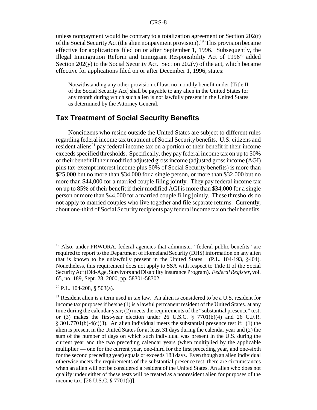unless nonpayment would be contrary to a totalization agreement or Section 202(t) of the Social Security Act (the alien nonpayment provision).19 This provision became effective for applications filed on or after September 1, 1996. Subsequently, the Illegal Immigration Reform and Immigrant Responsibility Act of 1996<sup>20</sup> added Section  $202(y)$  to the Social Security Act. Section  $202(y)$  of the act, which became effective for applications filed on or after December 1, 1996, states:

Notwithstanding any other provision of law, no monthly benefit under [Title II of the Social Security Act] shall be payable to any alien in the United States for any month during which such alien is not lawfully present in the United States as determined by the Attorney General.

## **Tax Treatment of Social Security Benefits**

Noncitizens who reside outside the United States are subject to different rules regarding federal income tax treatment of Social Security benefits. U.S. citizens and resident aliens<sup>21</sup> pay federal income tax on a portion of their benefit if their income exceeds specified thresholds. Specifically, they pay federal income tax on up to 50% of their benefit if their modified adjusted gross income (adjusted gross income (AGI) plus tax-exempt interest income plus 50% of Social Security benefits) is more than \$25,000 but no more than \$34,000 for a single person, or more than \$32,000 but no more than \$44,000 for a married couple filing jointly. They pay federal income tax on up to 85% of their benefit if their modified AGI is more than \$34,000 for a single person or more than \$44,000 for a married couple filing jointly. These thresholds do not apply to married couples who live together and file separate returns. Currently, about one-third of Social Security recipients pay federal income tax on their benefits.

<sup>&</sup>lt;sup>19</sup> Also, under PRWORA, federal agencies that administer "federal public benefits" are required to report to the Department of Homeland Security (DHS) information on any alien that is known to be unlawfully present in the United States. (P.L. 104-193, §404). Nonetheless, this requirement does not apply to SSA with respect to Title II of the Social Security Act (Old-Age, Survivors and Disability Insurance Program). *Federal Register*, vol. 65, no. 189, Sept. 28, 2000, pp. 58301-58302.

 $20$  P.L. 104-208, § 503(a).

 $21$  Resident alien is a term used in tax law. An alien is considered to be a U.S. resident for income tax purposes if he/she (1) is a lawful permanent resident of the United States. at any time during the calendar year; (2) meets the requirements of the "substantial presence" test; or (3) makes the first-year election under 26 U.S.C.  $\frac{8}{3}$  7701(b)(4) and 26 C.F.R. § 301.7701(b)-4(c)(3). An alien individual meets the substantial presence test if: (1) the alien is present in the United States for at least 31 days during the calendar year and (2) the sum of the number of days on which such individual was present in the U.S. during the current year and the two preceding calendar years (when multiplied by the applicable multiplier — one for the current year, one-third for the first preceding year, and one-sixth for the second preceding year) equals or exceeds 183 days. Even though an alien individual otherwise meets the requirements of the substantial presence test, there are circumstances when an alien will not be considered a resident of the United States. An alien who does not qualify under either of these tests will be treated as a nonresident alien for purposes of the income tax. [26 U.S.C. § 7701(b)].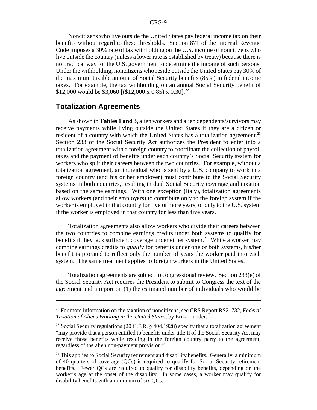Noncitizens who live outside the United States pay federal income tax on their benefits without regard to these thresholds. Section 871 of the Internal Revenue Code imposes a 30% rate of tax withholding on the U.S. income of noncitizens who live outside the country (unless a lower rate is established by treaty) because there is no practical way for the U.S. government to determine the income of such persons. Under the withholding, noncitizens who reside outside the United States pay 30% of the maximum taxable amount of Social Security benefits (85%) in federal income taxes. For example, the tax withholding on an annual Social Security benefit of \$12,000 would be \$3,060 [(\$12,000 x 0.85) x 0.30].<sup>22</sup>

#### **Totalization Agreements**

As shown in **Tables 1 and 3**, alien workers and alien dependents/survivors may receive payments while living outside the United States if they are a citizen or resident of a country with which the United States has a totalization agreement.<sup>23</sup> Section 233 of the Social Security Act authorizes the President to enter into a totalization agreement with a foreign country to coordinate the collection of payroll taxes and the payment of benefits under each country's Social Security system for workers who split their careers between the two countries. For example, without a totalization agreement, an individual who is sent by a U.S. company to work in a foreign country (and his or her employer) must contribute to the Social Security systems in both countries, resulting in dual Social Security coverage and taxation based on the same earnings. With one exception (Italy), totalization agreements allow workers (and their employers) to contribute only to the foreign system if the worker is employed in that country for five or more years, or only to the U.S. system if the worker is employed in that country for less than five years.

Totalization agreements also allow workers who divide their careers between the two countries to combine earnings credits under both systems to qualify for benefits if they lack sufficient coverage under either system.<sup>24</sup> While a worker may combine earnings credits to *qualify* for benefits under one or both systems, his/her benefit is prorated to reflect only the number of years the worker paid into each system. The same treatment applies to foreign workers in the United States.

Totalization agreements are subject to congressional review. Section 233(e) of the Social Security Act requires the President to submit to Congress the text of the agreement and a report on (1) the estimated number of individuals who would be

<sup>22</sup> For more information on the taxation of noncitizens, see CRS Report RS21732, *Federal Taxation of Aliens Working in the United States*, by Erika Lunder.

<sup>&</sup>lt;sup>23</sup> Social Security regulations (20 C.F.R.  $\S$  404.1928) specify that a totalization agreement "may provide that a person entitled to benefits under title II of the Social Security Act may receive those benefits while residing in the foreign country party to the agreement, regardless of the alien non-payment provision."

 $24$  This applies to Social Security retirement and disability benefits. Generally, a minimum of 40 quarters of coverage (QCs) is required to qualify for Social Security retirement benefits. Fewer QCs are required to qualify for disability benefits, depending on the worker's age at the onset of the disability. In some cases, a worker may qualify for disability benefits with a minimum of six QCs.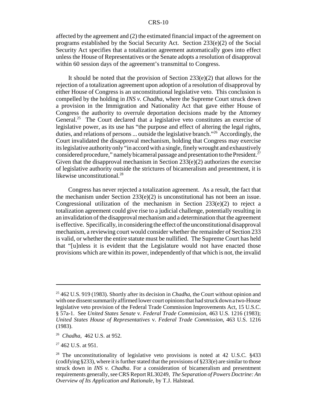affected by the agreement and (2) the estimated financial impact of the agreement on programs established by the Social Security Act. Section 233(e)(2) of the Social Security Act specifies that a totalization agreement automatically goes into effect unless the House of Representatives or the Senate adopts a resolution of disapproval within 60 session days of the agreement's transmittal to Congress.

It should be noted that the provision of Section 233(e)(2) that allows for the rejection of a totalization agreement upon adoption of a resolution of disapproval by either House of Congress is an unconstitutional legislative veto. This conclusion is compelled by the holding in *INS v. Chadha*, where the Supreme Court struck down a provision in the Immigration and Nationality Act that gave either House of Congress the authority to overrule deportation decisions made by the Attorney General.<sup>25</sup> The Court declared that a legislative veto constitutes an exercise of legislative power, as its use has "the purpose and effect of altering the legal rights, duties, and relations of persons ... outside the legislative branch."26 Accordingly, the Court invalidated the disapproval mechanism, holding that Congress may exercise its legislative authority only "in accord with a single, finely wrought and exhaustively considered procedure," namely bicameral passage and presentation to the President.<sup>27</sup> Given that the disapproval mechanism in Section  $233(e)(2)$  authorizes the exercise of legislative authority outside the strictures of bicameralism and presentment, it is likewise unconstitutional.<sup>28</sup>

Congress has never rejected a totalization agreement. As a result, the fact that the mechanism under Section  $233(e)(2)$  is unconstitutional has not been an issue. Congressional utilization of the mechanism in Section  $233(e)(2)$  to reject a totalization agreement could give rise to a judicial challenge, potentially resulting in an invalidation of the disapproval mechanism and a determination that the agreement is effective. Specifically, in considering the effect of the unconstitutional disapproval mechanism, a reviewing court would consider whether the remainder of Section 233 is valid, or whether the entire statute must be nullified. The Supreme Court has held that "[u]nless it is evident that the Legislature would not have enacted those provisions which are within its power, independently of that which is not, the invalid

<sup>25 462</sup> U.S. 919 (1983). Shortly after its decision in *Chadha*, the Court without opinion and with one dissent summarily affirmed lower court opinions that had struck down a two-House legislative veto provision of the Federal Trade Commission Improvements Act, 15 U.S.C. § 57a-1. See *United States Senate* v. *Federal Trade Commission*, 463 U.S. 1216 (1983); *United States House of Representatives* v. *Federal Trade Commission*, 463 U.S. 1216 (1983).

<sup>26</sup> *Chadha*, 462 U.S. at 952.

 $27$  462 U.S. at 951.

<sup>&</sup>lt;sup>28</sup> The unconstitutionality of legislative veto provisions is noted at 42 U.S.C. §433 (codifying §233), where it is further stated that the provisions of §233(e) are similar to those struck down in *INS v. Chadha*. For a consideration of bicameralism and presentment requirements generally, see CRS Report RL30249, *The Separation of Powers Doctrine: An Overview of Its Application and Rationale*, by T.J. Halstead.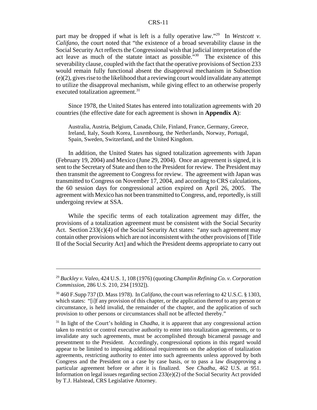part may be dropped if what is left is a fully operative law."29 In *Westcott v. Califano*, the court noted that "the existence of a broad severability clause in the Social Security Act reflects the Congressional wish that judicial interpretation of the act leave as much of the statute intact as possible."30 The existence of this severability clause, coupled with the fact that the operative provisions of Section 233 would remain fully functional absent the disapproval mechanism in Subsection (e)(2), gives rise to the likelihood that a reviewing court would invalidate any attempt to utilize the disapproval mechanism, while giving effect to an otherwise properly executed totalization agreement.<sup>31</sup>

Since 1978, the United States has entered into totalization agreements with 20 countries (the effective date for each agreement is shown in **Appendix A**):

Australia, Austria, Belgium, Canada, Chile, Finland, France, Germany, Greece, Ireland, Italy, South Korea, Luxembourg, the Netherlands, Norway, Portugal, Spain, Sweden, Switzerland, and the United Kingdom.

In addition, the United States has signed totalization agreements with Japan (February 19, 2004) and Mexico (June 29, 2004). Once an agreement is signed, it is sent to the Secretary of State and then to the President for review. The President may then transmit the agreement to Congress for review. The agreement with Japan was transmitted to Congress on November 17, 2004, and according to CRS calculations, the 60 session days for congressional action expired on April 26, 2005. The agreement with Mexico has not been transmitted to Congress, and, reportedly, is still undergoing review at SSA.

While the specific terms of each totalization agreement may differ, the provisions of a totalization agreement must be consistent with the Social Security Act. Section  $233(c)(4)$  of the Social Security Act states: "any such agreement may contain other provisions which are not inconsistent with the other provisions of [Title II of the Social Security Act] and which the President deems appropriate to carry out

<sup>29</sup> *Buckley v. Valeo*, 424 U.S. 1, 108 (1976) (quoting *Champlin Refining Co. v. Corporation Commission*, 286 U.S. 210, 234 [1932]).

<sup>30 460</sup> F.Supp 737 (D. Mass 1978). In *Califano*, the court was referring to 42 U.S.C. § 1303, which states: "[i]f any provision of this chapter, or the application thereof to any person or circumstance, is held invalid, the remainder of the chapter, and the application of such provision to other persons or circumstances shall not be affected thereby."

<sup>31</sup> In light of the Court's holding in *Chadha*, it is apparent that any congressional action taken to restrict or control executive authority to enter into totalization agreements, or to invalidate any such agreements, must be accomplished through bicameral passage and presentment to the President. Accordingly, congressional options in this regard would appear to be limited to imposing additional requirements on the adoption of totalization agreements, restricting authority to enter into such agreements unless approved by both Congress and the President on a case by case basis, or to pass a law disapproving a particular agreement before or after it is finalized. See *Chadha*, 462 U.S. at 951. Information on legal issues regarding section  $233(e)(2)$  of the Social Security Act provided by T.J. Halstead, CRS Legislative Attorney.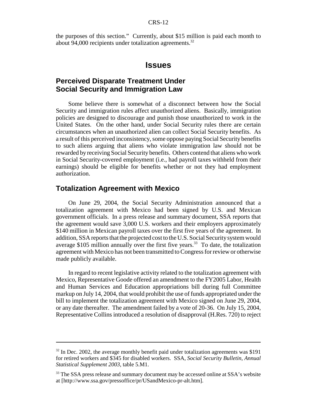the purposes of this section." Currently, about \$15 million is paid each month to about 94,000 recipients under totalization agreements.32

### **Issues**

# **Perceived Disparate Treatment Under Social Security and Immigration Law**

Some believe there is somewhat of a disconnect between how the Social Security and immigration rules affect unauthorized aliens. Basically, immigration policies are designed to discourage and punish those unauthorized to work in the United States. On the other hand, under Social Security rules there are certain circumstances when an unauthorized alien can collect Social Security benefits. As a result of this perceived inconsistency, some oppose paying Social Security benefits to such aliens arguing that aliens who violate immigration law should not be rewarded by receiving Social Security benefits. Others contend that aliens who work in Social Security-covered employment (i.e., had payroll taxes withheld from their earnings) should be eligible for benefits whether or not they had employment authorization.

## **Totalization Agreement with Mexico**

On June 29, 2004, the Social Security Administration announced that a totalization agreement with Mexico had been signed by U.S. and Mexican government officials. In a press release and summary document, SSA reports that the agreement would save 3,000 U.S. workers and their employers approximately \$140 million in Mexican payroll taxes over the first five years of the agreement. In addition, SSA reports that the projected cost to the U.S. Social Security system would average \$105 million annually over the first five years.<sup>33</sup> To date, the totalization agreement with Mexico has not been transmitted to Congress for review or otherwise made publicly available.

In regard to recent legislative activity related to the totalization agreement with Mexico, Representative Goode offered an amendment to the FY2005 Labor, Health and Human Services and Education appropriations bill during full Committee markup on July 14, 2004, that would prohibit the use of funds appropriated under the bill to implement the totalization agreement with Mexico signed on June 29, 2004, or any date thereafter. The amendment failed by a vote of 20-36. On July 15, 2004, Representative Collins introduced a resolution of disapproval (H.Res. 720) to reject

 $32$  In Dec. 2002, the average monthly benefit paid under totalization agreements was \$191 for retired workers and \$345 for disabled workers. SSA, *Social Security Bulletin*, *Annual Statistical Supplement 2003*, table 5.M1.

<sup>&</sup>lt;sup>33</sup> The SSA press release and summary document may be accessed online at SSA's website at [http://www.ssa.gov/pressoffice/pr/USandMexico-pr-alt.htm].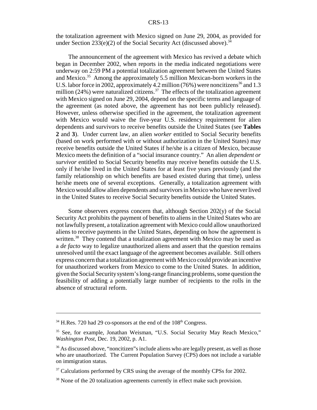the totalization agreement with Mexico signed on June 29, 2004, as provided for under Section 233(e)(2) of the Social Security Act (discussed above).<sup>34</sup>

The announcement of the agreement with Mexico has revived a debate which began in December 2002, when reports in the media indicated negotiations were underway on 2:59 PM a potential totalization agreement between the United States and Mexico.<sup>35</sup> Among the approximately 5.5 million Mexican-born workers in the U.S. labor force in 2002, approximately 4.2 million (76%) were noncitizens<sup>36</sup> and 1.3 million (24%) were naturalized citizens.<sup>37</sup> The effects of the totalization agreement with Mexico signed on June 29, 2004, depend on the specific terms and language of the agreement (as noted above, the agreement has not been publicly released). However, unless otherwise specified in the agreement, the totalization agreement with Mexico would waive the five-year U.S. residency requirement for alien dependents and survivors to receive benefits outside the United States (see **Tables 2** and **3**). Under current law, an alien *worker* entitled to Social Security benefits (based on work performed with or without authorization in the United States) may receive benefits outside the United States if he/she is a citizen of Mexico, because Mexico meets the definition of a "social insurance country." An alien *dependent or survivor* entitled to Social Security benefits may receive benefits outside the U.S. only if he/she lived in the United States for at least five years previously (and the family relationship on which benefits are based existed during that time), unless he/she meets one of several exceptions. Generally, a totalization agreement with Mexico would allow alien dependents and survivors in Mexico who have never lived in the United States to receive Social Security benefits outside the United States.

Some observers express concern that, although Section 202(y) of the Social Security Act prohibits the payment of benefits to aliens in the United States who are not lawfully present, a totalization agreement with Mexico could allow unauthorized aliens to receive payments in the United States, depending on how the agreement is written.<sup>38</sup> They contend that a totalization agreement with Mexico may be used as a *de facto* way to legalize unauthorized aliens and assert that the question remains unresolved until the exact language of the agreement becomes available. Still others express concern that a totalization agreement with Mexico could provide an incentive for unauthorized workers from Mexico to come to the United States. In addition, given the Social Security system's long-range financing problems, some question the feasibility of adding a potentially large number of recipients to the rolls in the absence of structural reform.

 $34$  H.Res. 720 had 29 co-sponsors at the end of the  $108<sup>th</sup>$  Congress.

<sup>35</sup> See, for example, Jonathan Weisman, "U.S. Social Security May Reach Mexico," *Washington Post*, Dec. 19, 2002, p. A1.

<sup>&</sup>lt;sup>36</sup> As discussed above, "noncitizen" is include aliens who are legally present, as well as those who are unauthorized. The Current Population Survey (CPS) does not include a variable on immigration status.

 $37$  Calculations performed by CRS using the average of the monthly CPSs for 2002.

<sup>&</sup>lt;sup>38</sup> None of the 20 totalization agreements currently in effect make such provision.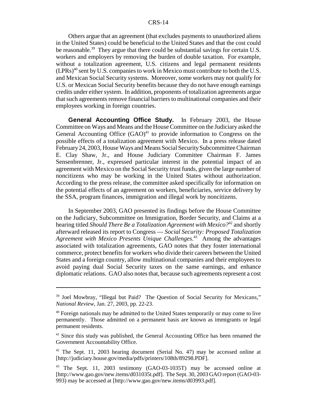Others argue that an agreement (that excludes payments to unauthorized aliens in the United States) could be beneficial to the United States and that the cost could be reasonable.<sup>39</sup> They argue that there could be substantial savings for certain U.S. workers and employers by removing the burden of double taxation. For example, without a totalization agreement, U.S. citizens and legal permanent residents  $(LPRs)^{40}$  sent by U.S. companies to work in Mexico must contribute to both the U.S. and Mexican Social Security systems. Moreover, some workers may not qualify for U.S. or Mexican Social Security benefits because they do not have enough earnings credits under either system. In addition, proponents of totalization agreements argue that such agreements remove financial barriers to multinational companies and their employees working in foreign countries.

**General Accounting Office Study.** In February 2003, the House Committee on Ways and Means and the House Committee on the Judiciary asked the General Accounting Office  $(GAO)^{41}$  to provide information to Congress on the possible effects of a totalization agreement with Mexico. In a press release dated February 24, 2003, House Ways and Means Social Security Subcommittee Chairman E. Clay Shaw, Jr., and House Judiciary Committee Chairman F. James Sensenbrenner, Jr., expressed particular interest in the potential impact of an agreement with Mexico on the Social Security trust funds, given the large number of noncitizens who may be working in the United States without authorization. According to the press release, the committee asked specifically for information on the potential effects of an agreement on workers, beneficiaries, service delivery by the SSA, program finances, immigration and illegal work by noncitizens.

In September 2003, GAO presented its findings before the House Committee on the Judiciary, Subcommittee on Immigration, Border Security, and Claims at a hearing titled *Should There Be a Totalization Agreement with Mexico?*42 and shortly afterward released its report to Congress — *Social Security: Proposed Totalization Agreement with Mexico Presents Unique Challenges*. 43 Among the advantages associated with totalization agreements, GAO notes that they foster international commerce, protect benefits for workers who divide their careers between the United States and a foreign country, allow multinational companies and their employees to avoid paying dual Social Security taxes on the same earnings, and enhance diplomatic relations. GAO also notes that, because such agreements represent a cost

<sup>&</sup>lt;sup>39</sup> Joel Mowbray, "Illegal but Paid? The Question of Social Security for Mexicans," *National Review*, Jan. 27, 2003, pp. 22-23.

<sup>&</sup>lt;sup>40</sup> Foreign nationals may be admitted to the United States temporarily or may come to live permanently. Those admitted on a permanent basis are known as immigrants or legal permanent residents.

<sup>&</sup>lt;sup>41</sup> Since this study was published, the General Accounting Office has been renamed the Government Accountability Office.

 $42$  The Sept. 11, 2003 hearing document (Serial No. 47) may be accessed online at [http://judiciary.house.gov/media/pdfs/printers/108th/89298.PDF].

<sup>43</sup> The Sept. 11, 2003 testimony (GAO-03-1035T) may be accessed online at [http://www.gao.gov/new.items/d031035t.pdf]. The Sept. 30, 2003 GAO report (GAO-03- 993) may be accessed at [http://www.gao.gov/new.items/d03993.pdf].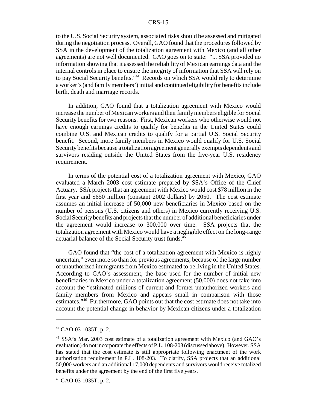to the U.S. Social Security system, associated risks should be assessed and mitigated during the negotiation process. Overall, GAO found that the procedures followed by SSA in the development of the totalization agreement with Mexico (and all other agreements) are not well documented. GAO goes on to state: "... SSA provided no information showing that it assessed the reliability of Mexican earnings data and the internal controls in place to ensure the integrity of information that SSA will rely on to pay Social Security benefits."44 Records on which SSA would rely to determine a worker's (and family members') initial and continued eligibility for benefits include birth, death and marriage records.

In addition, GAO found that a totalization agreement with Mexico would increase the number of Mexican workers and their family members eligible for Social Security benefits for two reasons. First, Mexican workers who otherwise would not have enough earnings credits to qualify for benefits in the United States could combine U.S. and Mexican credits to qualify for a partial U.S. Social Security benefit. Second, more family members in Mexico would qualify for U.S. Social Security benefits because a totalization agreement generally exempts dependents and survivors residing outside the United States from the five-year U.S. residency requirement.

In terms of the potential cost of a totalization agreement with Mexico, GAO evaluated a March 2003 cost estimate prepared by SSA's Office of the Chief Actuary. SSA projects that an agreement with Mexico would cost \$78 million in the first year and \$650 million (constant 2002 dollars) by 2050. The cost estimate assumes an initial increase of 50,000 new beneficiaries in Mexico based on the number of persons (U.S. citizens and others) in Mexico currently receiving U.S. Social Security benefits and projects that the number of additional beneficiaries under the agreement would increase to 300,000 over time. SSA projects that the totalization agreement with Mexico would have a negligible effect on the long-range actuarial balance of the Social Security trust funds.<sup>45</sup>

GAO found that "the cost of a totalization agreement with Mexico is highly uncertain," even more so than for previous agreements, because of the large number of unauthorized immigrants from Mexico estimated to be living in the United States. According to GAO's assessment, the base used for the number of initial new beneficiaries in Mexico under a totalization agreement (50,000) does not take into account the "estimated millions of current and former unauthorized workers and family members from Mexico and appears small in comparison with those estimates."46 Furthermore, GAO points out that the cost estimate does not take into account the potential change in behavior by Mexican citizens under a totalization

<sup>44</sup> GAO-03-1035T, p. 2.

<sup>45</sup> SSA's Mar. 2003 cost estimate of a totalization agreement with Mexico (and GAO's evaluation) do not incorporate the effects of P.L. 108-203 (discussed above). However, SSA has stated that the cost estimate is still appropriate following enactment of the work authorization requirement in P.L. 108-203. To clarify, SSA projects that an additional 50,000 workers and an additional 17,000 dependents and survivors would receive totalized benefits under the agreement by the end of the first five years.

<sup>46</sup> GAO-03-1035T, p. 2.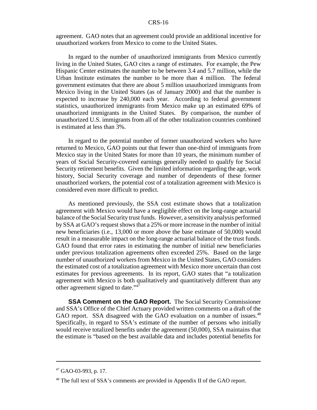agreement. GAO notes that an agreement could provide an additional incentive for unauthorized workers from Mexico to come to the United States.

In regard to the number of unauthorized immigrants from Mexico currently living in the United States, GAO cites a range of estimates. For example, the Pew Hispanic Center estimates the number to be between 3.4 and 5.7 million, while the Urban Institute estimates the number to be more than 4 million. The federal government estimates that there are about 5 million unauthorized immigrants from Mexico living in the United States (as of January 2000) and that the number is expected to increase by 240,000 each year. According to federal government statistics, unauthorized immigrants from Mexico make up an estimated 69% of unauthorized immigrants in the United States. By comparison, the number of unauthorized U.S. immigrants from all of the other totalization countries combined is estimated at less than 3%.

In regard to the potential number of former unauthorized workers who have returned to Mexico, GAO points out that fewer than one-third of immigrants from Mexico stay in the United States for more than 10 years, the minimum number of years of Social Security-covered earnings generally needed to qualify for Social Security retirement benefits. Given the limited information regarding the age, work history, Social Security coverage and number of dependents of these former unauthorized workers, the potential cost of a totalization agreement with Mexico is considered even more difficult to predict.

As mentioned previously, the SSA cost estimate shows that a totalization agreement with Mexico would have a negligible effect on the long-range actuarial balance of the Social Security trust funds. However, a sensitivity analysis performed by SSA at GAO's request shows that a 25% or more increase in the number of initial new beneficiaries (i.e., 13,000 or more above the base estimate of 50,000) would result in a measurable impact on the long-range actuarial balance of the trust funds. GAO found that error rates in estimating the number of initial new beneficiaries under previous totalization agreements often exceeded 25%. Based on the large number of unauthorized workers from Mexico in the United States, GAO considers the estimated cost of a totalization agreement with Mexico more uncertain than cost estimates for previous agreements. In its report, GAO states that "a totalization agreement with Mexico is both qualitatively and quantitatively different than any other agreement signed to date."47

**SSA Comment on the GAO Report.** The Social Security Commissioner and SSA's Office of the Chief Actuary provided written comments on a draft of the GAO report. SSA disagreed with the GAO evaluation on a number of issues.<sup>48</sup> Specifically, in regard to SSA's estimate of the number of persons who initially would receive totalized benefits under the agreement (50,000), SSA maintains that the estimate is "based on the best available data and includes potential benefits for

 $47$  GAO-03-993, p. 17.

<sup>&</sup>lt;sup>48</sup> The full text of SSA's comments are provided in Appendix II of the GAO report.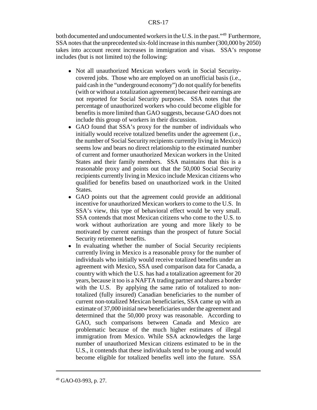both documented and undocumented workers in the U.S. in the past."<sup>49</sup> Furthermore, SSA notes that the unprecedented six-fold increase in this number (300,000 by 2050) takes into account recent increases in immigration and visas. SSA's response includes (but is not limited to) the following:

- ! Not all unauthorized Mexican workers work in Social Securitycovered jobs. Those who are employed on an unofficial basis (i.e., paid cash in the "underground economy") do not qualify for benefits (with or without a totalization agreement) because their earnings are not reported for Social Security purposes. SSA notes that the percentage of unauthorized workers who could become eligible for benefits is more limited than GAO suggests, because GAO does not include this group of workers in their discussion.
- GAO found that SSA's proxy for the number of individuals who initially would receive totalized benefits under the agreement (i.e., the number of Social Security recipients currently living in Mexico) seems low and bears no direct relationship to the estimated number of current and former unauthorized Mexican workers in the United States and their family members. SSA maintains that this is a reasonable proxy and points out that the 50,000 Social Security recipients currently living in Mexico include Mexican citizens who qualified for benefits based on unauthorized work in the United States.
- GAO points out that the agreement could provide an additional incentive for unauthorized Mexican workers to come to the U.S. In SSA's view, this type of behavioral effect would be very small. SSA contends that most Mexican citizens who come to the U.S. to work without authorization are young and more likely to be motivated by current earnings than the prospect of future Social Security retirement benefits.
- In evaluating whether the number of Social Security recipients currently living in Mexico is a reasonable proxy for the number of individuals who initially would receive totalized benefits under an agreement with Mexico, SSA used comparison data for Canada, a country with which the U.S. has had a totalization agreement for 20 years, because it too is a NAFTA trading partner and shares a border with the U.S. By applying the same ratio of totalized to nontotalized (fully insured) Canadian beneficiaries to the number of current non-totalized Mexican beneficiaries, SSA came up with an estimate of 37,000 initial new beneficiaries under the agreement and determined that the 50,000 proxy was reasonable. According to GAO, such comparisons between Canada and Mexico are problematic because of the much higher estimates of illegal immigration from Mexico. While SSA acknowledges the large number of unauthorized Mexican citizens estimated to be in the U.S., it contends that these individuals tend to be young and would become eligible for totalized benefits well into the future. SSA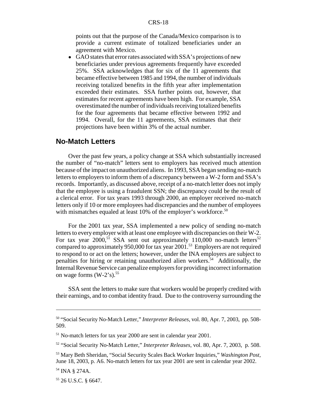points out that the purpose of the Canada/Mexico comparison is to provide a current estimate of totalized beneficiaries under an agreement with Mexico.

! GAO states that error rates associated with SSA's projections of new beneficiaries under previous agreements frequently have exceeded 25%. SSA acknowledges that for six of the 11 agreements that became effective between 1985 and 1994, the number of individuals receiving totalized benefits in the fifth year after implementation exceeded their estimates. SSA further points out, however, that estimates for recent agreements have been high. For example, SSA overestimated the number of individuals receiving totalized benefits for the four agreements that became effective between 1992 and 1994. Overall, for the 11 agreements, SSA estimates that their projections have been within 3% of the actual number.

### **No-Match Letters**

Over the past few years, a policy change at SSA which substantially increased the number of "no-match" letters sent to employers has received much attention because of the impact on unauthorized aliens. In 1993, SSA began sending no-match letters to employers to inform them of a discrepancy between a W-2 form and SSA's records. Importantly, as discussed above, receipt of a no-match letter does not imply that the employee is using a fraudulent SSN; the discrepancy could be the result of a clerical error. For tax years 1993 through 2000, an employer received no-match letters only if 10 or more employees had discrepancies and the number of employees with mismatches equaled at least  $10\%$  of the employer's workforce.<sup>50</sup>

For the 2001 tax year, SSA implemented a new policy of sending no-match letters to every employer with at least one employee with discrepancies on their W-2. For tax year  $2000$ <sup>51</sup> SSA sent out approximately 110,000 no-match letters<sup>52</sup> compared to approximately 950,000 for tax year 2001.53 Employers are not required to respond to or act on the letters; however, under the INA employers are subject to penalties for hiring or retaining unauthorized alien workers.<sup>54</sup> Additionally, the Internal Revenue Service can penalize employers for providing incorrect information on wage forms  $(W-2's)$ .<sup>55</sup>

SSA sent the letters to make sure that workers would be properly credited with their earnings, and to combat identity fraud. Due to the controversy surrounding the

<sup>50 &</sup>quot;Social Security No-Match Letter," *Interpreter Releases*, vol. 80, Apr. 7, 2003, pp. 508- 509.

<sup>&</sup>lt;sup>51</sup> No-match letters for tax year 2000 are sent in calendar year 2001.

<sup>52 &</sup>quot;Social Security No-Match Letter," *Interpreter Releases*, vol. 80, Apr. 7, 2003, p. 508.

<sup>53</sup> Mary Beth Sheridan, "Social Security Scales Back Worker Inquiries," *Washington Post,* June 18, 2003, p. A6. No-match letters for tax year 2001 are sent in calendar year 2002.

<sup>54</sup> INA § 274A.

<sup>55 26</sup> U.S.C. § 6647.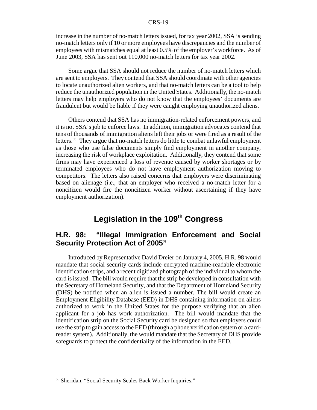increase in the number of no-match letters issued, for tax year 2002, SSA is sending no-match letters only if 10 or more employees have discrepancies and the number of employees with mismatches equal at least 0.5% of the employer's workforce. As of June 2003, SSA has sent out 110,000 no-match letters for tax year 2002.

Some argue that SSA should not reduce the number of no-match letters which are sent to employers. They contend that SSA should coordinate with other agencies to locate unauthorized alien workers, and that no-match letters can be a tool to help reduce the unauthorized population in the United States. Additionally, the no-match letters may help employers who do not know that the employees' documents are fraudulent but would be liable if they were caught employing unauthorized aliens.

Others contend that SSA has no immigration-related enforcement powers, and it is not SSA's job to enforce laws. In addition, immigration advocates contend that tens of thousands of immigration aliens left their jobs or were fired as a result of the letters.56 They argue that no-match letters do little to combat unlawful employment as those who use false documents simply find employment in another company, increasing the risk of workplace exploitation. Additionally, they contend that some firms may have experienced a loss of revenue caused by worker shortages or by terminated employees who do not have employment authorization moving to competitors. The letters also raised concerns that employers were discriminating based on alienage (i.e., that an employer who received a no-match letter for a noncitizen would fire the noncitizen worker without ascertaining if they have employment authorization).

# Legislation in the 109<sup>th</sup> Congress

# **H.R. 98: "Illegal Immigration Enforcement and Social Security Protection Act of 2005"**

Introduced by Representative David Dreier on January 4, 2005, H.R. 98 would mandate that social security cards include encrypted machine-readable electronic identification strips, and a recent digitized photograph of the individual to whom the card is issued. The bill would require that the strip be developed in consultation with the Secretary of Homeland Security, and that the Department of Homeland Security (DHS) be notified when an alien is issued a number. The bill would create an Employment Eligibility Database (EED) in DHS containing information on aliens authorized to work in the United States for the purpose verifying that an alien applicant for a job has work authorization. The bill would mandate that the identification strip on the Social Security card be designed so that employers could use the strip to gain access to the EED (through a phone verification system or a cardreader system). Additionally, the would mandate that the Secretary of DHS provide safeguards to protect the confidentiality of the information in the EED.

<sup>56</sup> Sheridan, "Social Security Scales Back Worker Inquiries."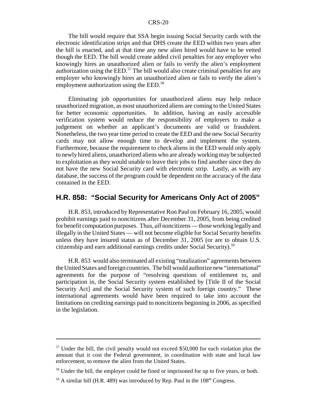The bill would require that SSA begin issuing Social Security cards with the electronic identification strips and that DHS create the EED within two years after the bill is enacted, and at that time any new alien hired would have to be vetted though the EED. The bill would create added civil penalties for any employer who knowingly hires an unauthorized alien or fails to verify the alien's employment authorization using the  $EED<sup>57</sup>$ . The bill would also create criminal penalties for any employer who knowingly hires an unauthorized alien or fails to verify the alien's employment authorization using the EED.<sup>58</sup>

Eliminating job opportunities for unauthorized aliens may help reduce unauthorized migration, as most unauthorized aliens are coming to the United States for better economic opportunities. In addition, having an easily accessible verification system would reduce the responsibility of employers to make a judgement on whether an applicant's documents are valid or fraudulent. Nonetheless, the two year time period to create the EED and the new Social Security cards may not allow enough time to develop and implement the system. Furthermore, because the requirement to check aliens in the EED would only apply to newly hired aliens, unauthorized aliens who are already working may be subjected to exploitation as they would unable to leave their jobs to find another since they do not have the new Social Security card with electronic strip. Lastly, as with any database, the success of the program could be dependent on the accuracy of the data contained in the EED.

### **H.R. 858: "Social Security for Americans Only Act of 2005"**

H.R. 853, introduced by Representative Ron Paul on February 16, 2005, would prohibit earnings paid to noncitizens after December 31, 2005, from being credited for benefit computation purposes. Thus, *all* noncitizens — those working legally and illegally in the United States — will not become eligible for Social Security benefits unless they have insured status as of December 31, 2005 (or are to obtain U.S. citizenship and earn additional earnings credits under Social Security).59

H.R. 853 would also terminated all existing "totalization" agreements between the United States and foreign countries. The bill would authorize new "international" agreements for the purpose of "resolving questions of entitlement to, and participation in, the Social Security system established by [Title II of the Social Security Act] and the Social Security system of such foreign country." These international agreements would have been required to take into account the limitations on crediting earnings paid to noncitizens beginning in 2006, as specified in the legislation.

<sup>&</sup>lt;sup>57</sup> Under the bill, the civil penalty would not exceed \$50,000 for each violation plus the amount that it cost the Federal government, in coordination with state and local law enforcement, to remove the alien from the United States.

<sup>&</sup>lt;sup>58</sup> Under the bill, the employer could be fined or imprisoned for up to five years, or both.

 $59$  A similar bill (H.R. 489) was introduced by Rep. Paul in the  $108<sup>th</sup>$  Congress.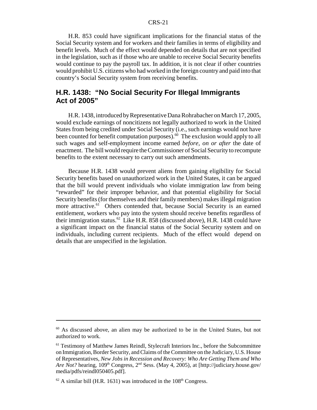H.R. 853 could have significant implications for the financial status of the Social Security system and for workers and their families in terms of eligibility and benefit levels. Much of the effect would depended on details that are not specified in the legislation, such as if those who are unable to receive Social Security benefits would continue to pay the payroll tax. In addition, it is not clear if other countries would prohibit U.S. citizens who had worked in the foreign country and paid into that country's Social Security system from receiving benefits.

# **H.R. 1438: "No Social Security For Illegal Immigrants Act of 2005"**

H.R. 1438, introduced by Representative Dana Rohrabacher on March 17, 2005, would exclude earnings of noncitizens not legally authorized to work in the United States from being credited under Social Security (i.e., such earnings would not have been counted for benefit computation purposes).<sup>60</sup> The exclusion would apply to all such wages and self-employment income earned *before, on or after* the date of enactment. The bill would require the Commissioner of Social Security to recompute benefits to the extent necessary to carry out such amendments.

Because H.R. 1438 would prevent aliens from gaining eligibility for Social Security benefits based on unauthorized work in the United States, it can be argued that the bill would prevent individuals who violate immigration law from being "rewarded" for their improper behavior, and that potential eligibility for Social Security benefits (for themselves and their family members) makes illegal migration more attractive.<sup>61</sup> Others contended that, because Social Security is an earned entitlement, workers who pay into the system should receive benefits regardless of their immigration status.<sup>62</sup> Like H.R. 858 (discussed above), H.R. 1438 could have a significant impact on the financial status of the Social Security system and on individuals, including current recipients. Much of the effect would depend on details that are unspecified in the legislation.

<sup>60</sup> As discussed above, an alien may be authorized to be in the United States, but not authorized to work.

<sup>&</sup>lt;sup>61</sup> Testimony of Matthew James Reindl, Stylecraft Interiors Inc., before the Subcommittee on Immigration, Border Security, and Claims of the Committee on the Judiciary, U.S. House of Representatives, *New Jobs in Recession and Recovery: Who Are Getting Them and Who Are Not?* hearing,  $109<sup>th</sup> Congress, 2<sup>nd</sup> Sess. (May 4, 2005), at [http://judiciary.house.gov/$ media/pdfs/reindl050405.pdf].

 $62$  A similar bill (H.R. 1631) was introduced in the 108<sup>th</sup> Congress.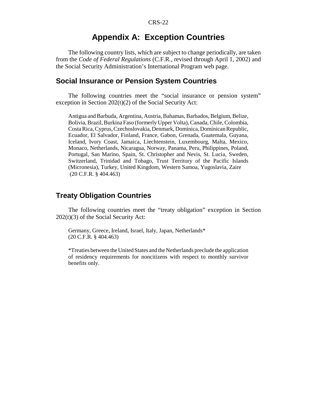# **Appendix A: Exception Countries**

The following country lists, which are subject to change periodically, are taken from the *Code of Federal Regulations* (C.F.R., revised through April 1, 2002) and the Social Security Administration's International Program web page.

## **Social Insurance or Pension System Countries**

The following countries meet the "social insurance or pension system" exception in Section 202(t)(2) of the Social Security Act:

Antigua and Barbuda, Argentina, Austria, Bahamas, Barbados, Belgium, Belize, Bolivia, Brazil, Burkina Faso (formerly Upper Volta), Canada, Chile, Colombia, Costa Rica, Cyprus, Czechoslovakia, Denmark, Dominica, Dominican Republic, Ecuador, El Salvador, Finland, France, Gabon, Grenada, Guatemala, Guyana, Iceland, Ivory Coast, Jamaica, Liechtenstein, Luxembourg, Malta, Mexico, Monaco, Netherlands, Nicaragua, Norway, Panama, Peru, Philippines, Poland, Portugal, San Marino, Spain, St. Christopher and Nevis, St. Lucia, Sweden, Switzerland, Trinidad and Tobago, Trust Territory of the Pacific Islands (Micronesia), Turkey, United Kingdom, Western Samoa, Yugoslavia, Zaire (20 C.F.R. § 404.463)

# **Treaty Obligation Countries**

The following countries meet the "treaty obligation" exception in Section 202(t)(3) of the Social Security Act:

Germany, Greece, Ireland, Israel, Italy, Japan, Netherlands\* (20 C.F.R. § 404.463)

\*Treaties between the United States and the Netherlands preclude the application of residency requirements for noncitizens with respect to monthly survivor benefits only.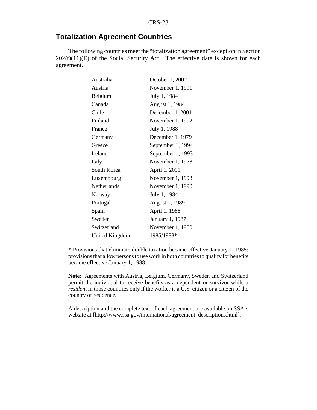# **Totalization Agreement Countries**

The following countries meet the "totalization agreement" exception in Section  $202(t)(11)(E)$  of the Social Security Act. The effective date is shown for each agreement.

| Australia   | October 1, 2002   |
|-------------|-------------------|
| Austria     | November 1, 1991  |
| Belgium     | July 1, 1984      |
| Canada      | August 1, 1984    |
| Chile       | December 1, 2001  |
| Finland     | November 1, 1992  |
| France      | July 1, 1988      |
| Germany     | December 1, 1979  |
| Greece      | September 1, 1994 |
| Ireland     | September 1, 1993 |
| Italy       | November 1, 1978  |
| South Korea | April 1, 2001     |
| Luxembourg  | November 1, 1993  |
|             |                   |
| Netherlands | November 1, 1990  |
| Norway      | July 1, 1984      |
| Portugal    | August 1, 1989    |
| Spain       | April 1, 1988     |
| Sweden      | January 1, 1987   |
| Switzerland | November 1, 1980  |

\* Provisions that eliminate double taxation became effective January 1, 1985; provisions that allow persons to use work in both countries to qualify for benefits became effective January 1, 1988.

**Note:** Agreements with Austria, Belgium, Germany, Sweden and Switzerland permit the individual to receive benefits as a dependent or survivor while a *resident* in those countries only if the worker is a U.S. citizen or a citizen of the country of residence.

A description and the complete text of each agreement are available on SSA's website at [http://www.ssa.gov/international/agreement\_descriptions.html].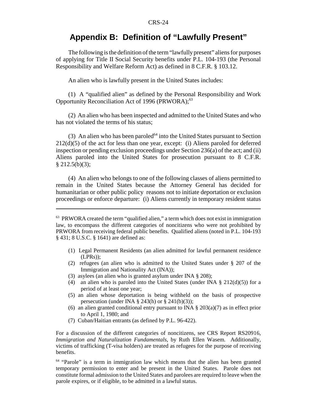# **Appendix B: Definition of "Lawfully Present"**

The following is the definition of the term "lawfully present" aliens for purposes of applying for Title II Social Security benefits under P.L. 104-193 (the Personal Responsibility and Welfare Reform Act) as defined in 8 C.F.R. § 103.12.

An alien who is lawfully present in the United States includes:

(1) A "qualified alien" as defined by the Personal Responsibility and Work Opportunity Reconciliation Act of 1996 (PRWORA);<sup>63</sup>

(2) An alien who has been inspected and admitted to the United States and who has not violated the terms of his status;

(3) An alien who has been paroled<sup> $64$ </sup> into the United States pursuant to Section 212(d)(5) of the act for less than one year, except: (i) Aliens paroled for deferred inspection or pending exclusion proceedings under Section 236(a) of the act; and (ii) Aliens paroled into the United States for prosecution pursuant to 8 C.F.R.  $§$  212.5(b)(3);

(4) An alien who belongs to one of the following classes of aliens permitted to remain in the United States because the Attorney General has decided for humanitarian or other public policy reasons not to initiate deportation or exclusion proceedings or enforce departure: (i) Aliens currently in temporary resident status

- (1) Legal Permanent Residents (an alien admitted for lawful permanent residence (LPRs));
- (2) refugees (an alien who is admitted to the United States under § 207 of the Immigration and Nationality Act (INA));
- (3) asylees (an alien who is granted asylum under INA § 208);
- (4) an alien who is paroled into the United States (under INA  $\S$  212(d)(5)) for a period of at least one year;
- (5) an alien whose deportation is being withheld on the basis of prospective persecution (under INA  $\S$  243(h) or  $\S$  241(b)(3));
- (6) an alien granted conditional entry pursuant to INA  $\S 203(a)(7)$  as in effect prior to April 1, 1980; and
- (7) Cuban/Haitian entrants (as defined by P.L. 96-422).

For a discussion of the different categories of noncitizens, see CRS Report RS20916, *Immigration and Naturalization Fundamentals*, by Ruth Ellen Wasem. Additionally, victims of trafficking (T-visa holders) are treated as refugees for the purpose of receiving benefits.

<sup>64</sup> "Parole" is a term in immigration law which means that the alien has been granted temporary permission to enter and be present in the United States. Parole does not constitute formal admission to the United States and parolees are required to leave when the parole expires, or if eligible, to be admitted in a lawful status.

<sup>&</sup>lt;sup>63</sup> PRWORA created the term "qualified alien," a term which does not exist in immigration law, to encompass the different categories of noncitizens who were not prohibited by PRWORA from receiving federal public benefits. Qualified aliens (noted in P.L. 104-193 § 431; 8 U.S.C. § 1641) are defined as: